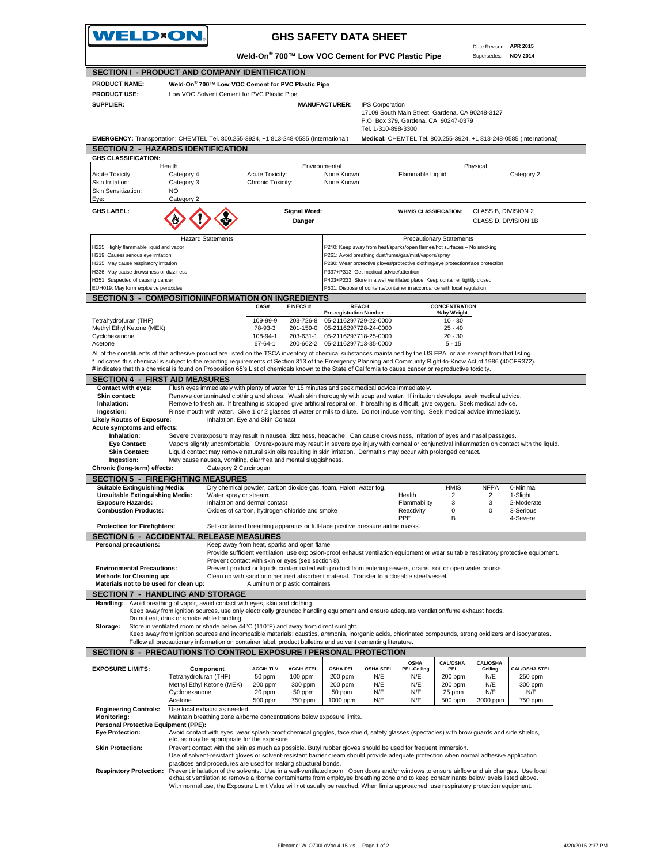

## **GHS SAFETY DATA SHEET**

Date Revised: **APR 2015** Supersedes: **NOV 2014 SECTION I - PRODUCT AND COMPANY IDENTIFICATION Weld-On® 700™ Low VOC Cement for PVC Plastic Pipe** Low VOC Solvent Cement for PVC Plastic Pipe  **MANUFACTURER:** IPS Corporation 17109 South Main Street, Gardena, CA 90248-3127 P.O. Box 379, Gardena, CA 90247-0379 Tel. 1-310-898-3300 **EMERGENCY:** Transportation: CHEMTEL Tel. 800.255-3924, +1 813-248-0585 (International) **Medical:** CHEMTEL Tel. 800.255-3924, +1 813-248-0585 (International) **SECTION 2 - HAZARDS IDENTIFICATION** Acute Toxicity: Category 4 Acute Toxicity: None Known Flammable Liquid Category 2 Skin Irritation: Category 3 Chronic Toxicity: None Known<br>Skin Sensitization: NO Skin Sensitization: Eye: GHS LABEL:<br> **GHS LABEL:** Signal Word: **Danger** WHMIS CLASSIFICATION: CLASS B, DIVISION 21<br>
CLASS D. DIVISION 11 **Danger** CLASS D, DIVISION 1B H225: Highly flammable liquid and vapor **PALL CONTENTS** P210: Keep away from heat/sparks/open flames/hot surfaces – No smoking H319: Causes serious eye irritation **P261: Avoid breathing dust/fume/gas/mist/vapors/spray** H335: May cause respiratory irritation exacts and the state of the state of P280: Wear protective gloves/protective clothing/eye protection/face protection protection and protection and protection and protection end and pr H336: May cause drowsiness or dizziness H351: Suspected of causing cancer **P403+P233:** Store in a well ventilated place. Keep container tightly closed EUH019: May form explosive peroxides P501: Dispose of contents/container in accordance with local regulation **SECTION 3 - COMPOSITION/INFORMATION ON INGREDIENTS CAS# EINECS # CONCENTRATION Pre-registration Number % by Weight** Tetrahydrofuran (THF) 109-99-9 203-726-8 05-2116297729-22-0000 10 - 30 Methyl Ethyl Ketone (MEK) 25 - 40<br>Cyclohexanone (MEK) 201-159-0 201-159-0 05-2116297718-25-0000 25 - 40<br>20 - 30 - 20 - 30 05-2116297718-25-0000 Acetone 67-64-1 200-662-2 05-2116297713-35-0000 5-15 All of the constituents of this adhesive product are listed on the TSCA inventory of chemical substances maintained by the US EPA, or are exempt from that listing. \* Indicates this chemical is subject to the reporting requirements of Section 313 of the Emergency Planning and Community Right-to-Know Act of 1986 (40CFR372). # indicates that this chemical is found on Proposition 65's List of chemicals known to the State of California to cause cancer or reproductive toxicity. **SECTION 4 - FIRST AID MEASURES**<br>Contact with eves: Flush eves immediately Flush eyes immediately with plenty of water for 15 minutes and seek medical advice immediately **Skin contact:** Remove contaminated clothing and shoes. Wash skin thoroughly with soap and water. If irritation develops, seek medical advice.<br> **Inhalation:** Remove to fresh air. If breathing is stopped, give artificial re Inhalation: Remove to fresh air. If breathing is stopped, give artificial respiration. If breathing is difficult, give oxygen. Seek medical advice.<br>Ingestion: Rinse mouth with water. Give 1 or 2 glasses of water or milk to  **Ingestion:** Rinse mouth with water. Give 1 or 2 glasses of water or milk to dilute. Do not induce vomiting. Seek medical advice immediately. **Likely Routes of Exposure:** Inhalation, Eye and Skin Contact **Acute symptoms and effects: Inhalation:** Severe overexposure may result in nausea, dizziness, headache. Can cause drowsiness, irritation of eyes and nasal passages.<br> **Eve Contact:** Vapors slightly uncomfortable. Overexposure may result in severe eve Vapors slightly uncomfortable. Overexposure may result in severe eye injury with corneal or conjunctival inflammation on contact with the liquid. **Skin Contact:** Liquid contact may remove natural skin oils resulting in skin irritation. Dermatitis may occur with prolonged contact.<br>Inglestion: May cause nausea, vomiting, diarrhea and mental sluggishness. May cause nausea, vomiting, diarrhea and mental sluggishness. **Chronic (long-term) effects:** Category 2 Carcinogen **SECTION 5 - FIREFIGHTING MEASURES Suitable Extinguishing Media:** Dry chemical powder, carbon dioxide gas, foam, Halon, water fog. **HMIS** NFPA 0-Minimal **Unsuitable Extinguishing Media:** Water spray or stream.<br> **Exposure Hazards:** 2. Moderate Inhalation and dermal contact **1986** Flammability 3. 2. Moderate **Inhalation and dermal contact Combustion Products:** Oxides of carbon, hydrogen chloride and smoke Reactivity 0 0 3-Serious<br>PPE B 4-Severe 4-Severe **Protection for Firefighters:** Self-contained breathing apparatus or full-face positive pressure airline masks **SECTION 6 - ACCIDENTAL RELEASE MEASURES Prsonal precautions:** Keep away from heat, sparks and open flame Provide sufficient ventilation, use explosion-proof exhaust ventilation equipment or wear suitable respiratory protective equipment. Prevent contact with skin or eyes (see section 8). **Environmental Precautions:** Prevent product or liquids contaminated with product from entering sewers, drains, soil or open water course<br>**Methods for Cleaning up:** Clean up with sand or other inert absorbent material. Tra  **Methods for Cleaning up:** Clean up with sand or other inert absorbent material. Transfer to a closable steel vessel. **Aluminum or plastic containers SECTION 7 - HANDLING AND STORAGE** Handling: Avoid breathing of vapor, avoid contact with eyes, skin and clothing.<br>Keep away from ignition sources, use only electrically grounded handling equipment and ensure adequate ventilation/fume exhaust hoods. Do not eat, drink or smoke while handling.  **Storage:** Store in ventilated room or shade below 44°C (110°F) and away from direct sunlight. Keep away from ignition sources and incompatible materials: caustics, ammonia, inorganic acids, chlorinated compounds, strong oxidizers and isocyanates. Follow all precautionary information on container label, product bulletins and solvent cementing literature. **SECTION 8 - PRECAUTIONS TO CONTROL EXPOSURE / PERSONAL PROTECTION EXPOSURE LIMITS:**<br>
Tetrahydrofuran (THF) 50 ppm 100 ppm 200 ppm N/E **OSHA PEL-Ceiling CAL/OSHA PEL**<br>200 ppr **CAL/OSHA Ceiling CAL/OSHA STEL** Tetrahydrofuran (THF) 50 ppm 100 ppm 200 ppm N/E N/E 200 ppm N/E 250 ppm Methyl Ethyl Ketone (MEK) 20 ppm | 50 ppm | 50 ppm | N/E | N/E | 25 ppm | N/E | N/E Acetone 500 ppm 750 ppm 1000 ppm N/E N/E 500 ppm 3000 ppm 750 ppm **Engineering Controls:** Use local exhaust as needed.<br>**Monitoring:** Maintain breathing zone airbo Maintain breathing zone airborne concentrations below exposure limits.  **Personal Protective Equipment (PPE): Eye Protection:** Avoid contact with eyes, wear splash-proof chemical goggles, face shield, safety glasses (spectacles) with brow guards and side shields, etc. as may be appropriate for the exposure.  **Skin Protection:** Prevent contact with the skin as much as possible. Butyl rubber gloves should be used for frequent immersion. Use of solvent-resistant gloves or solvent-resistant barrier cream should provide adequate protection when normal adhesive application practices and procedures are used for making structural bonds. Respiratory Protection: Prevent inhalation of the solvents. Use in a well-ventilated room. Open doors and/or windows to ensure airflow and air changes. Use local **PRODUCT NAME: PRODUCT USE: SUPPLIER: GHS CLASSIFICATION:** Health Environmental Physical **Weld-On® 700™ Low VOC Cement for PVC Plastic Pipe** Catego **Hazard Statements Precautionary Statements Precautionary Statements REACH Component** Cyclohexanone<br>Acetone

exhaust ventilation to remove airborne contaminants from employee breathing zone and to keep contaminants below levels listed above. With normal use, the Exposure Limit Value will not usually be reached. When limits approached, use respiratory protection equipment.